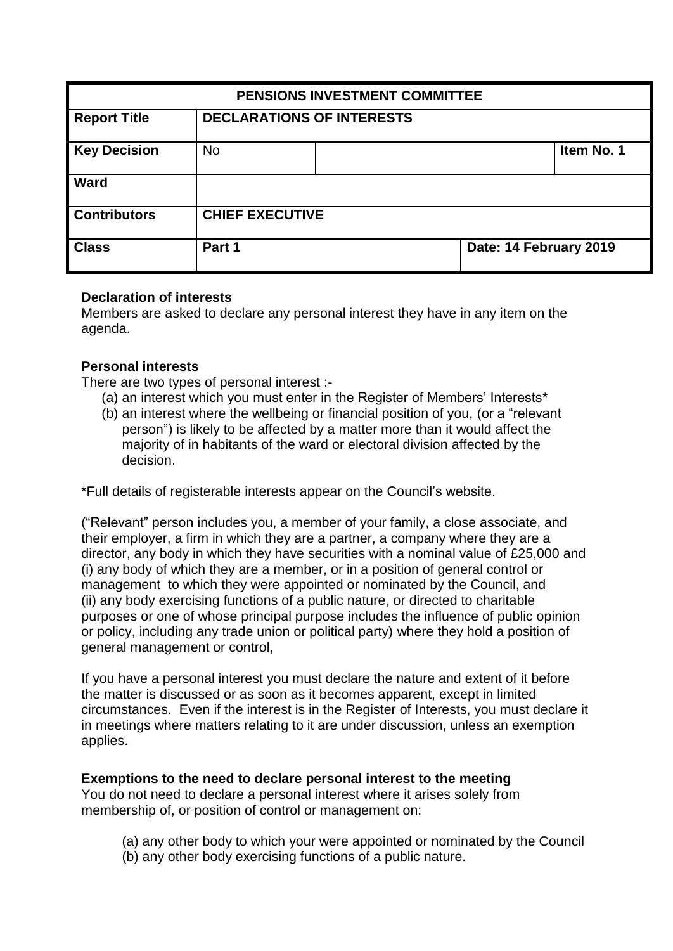| PENSIONS INVESTMENT COMMITTEE |                                  |  |                        |            |
|-------------------------------|----------------------------------|--|------------------------|------------|
| <b>Report Title</b>           | <b>DECLARATIONS OF INTERESTS</b> |  |                        |            |
| <b>Key Decision</b>           | <b>No</b>                        |  |                        | Item No. 1 |
| <b>Ward</b>                   |                                  |  |                        |            |
| <b>Contributors</b>           | <b>CHIEF EXECUTIVE</b>           |  |                        |            |
| <b>Class</b>                  | Part 1                           |  | Date: 14 February 2019 |            |

#### **Declaration of interests**

Members are asked to declare any personal interest they have in any item on the agenda.

### **Personal interests**

There are two types of personal interest :-

- (a) an interest which you must enter in the Register of Members' Interests\*
- (b) an interest where the wellbeing or financial position of you, (or a "relevant person") is likely to be affected by a matter more than it would affect the majority of in habitants of the ward or electoral division affected by the decision.

\*Full details of registerable interests appear on the Council's website.

("Relevant" person includes you, a member of your family, a close associate, and their employer, a firm in which they are a partner, a company where they are a director, any body in which they have securities with a nominal value of £25,000 and (i) any body of which they are a member, or in a position of general control or management to which they were appointed or nominated by the Council, and (ii) any body exercising functions of a public nature, or directed to charitable purposes or one of whose principal purpose includes the influence of public opinion or policy, including any trade union or political party) where they hold a position of general management or control,

If you have a personal interest you must declare the nature and extent of it before the matter is discussed or as soon as it becomes apparent, except in limited circumstances. Even if the interest is in the Register of Interests, you must declare it in meetings where matters relating to it are under discussion, unless an exemption applies.

#### **Exemptions to the need to declare personal interest to the meeting**

You do not need to declare a personal interest where it arises solely from membership of, or position of control or management on:

- (a) any other body to which your were appointed or nominated by the Council
- (b) any other body exercising functions of a public nature.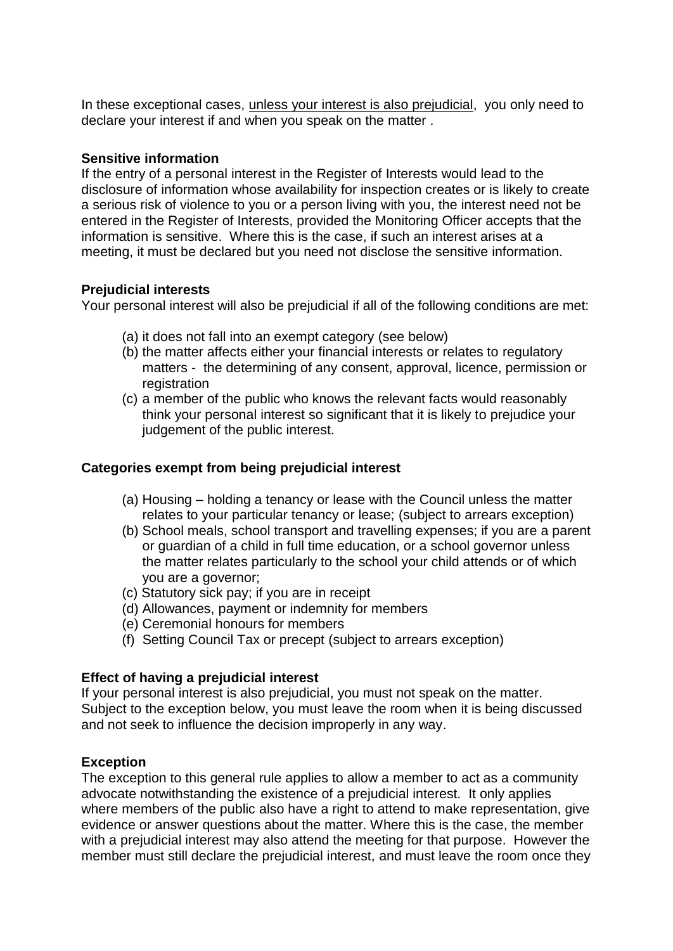In these exceptional cases, unless your interest is also prejudicial, you only need to declare your interest if and when you speak on the matter .

#### **Sensitive information**

If the entry of a personal interest in the Register of Interests would lead to the disclosure of information whose availability for inspection creates or is likely to create a serious risk of violence to you or a person living with you, the interest need not be entered in the Register of Interests, provided the Monitoring Officer accepts that the information is sensitive. Where this is the case, if such an interest arises at a meeting, it must be declared but you need not disclose the sensitive information.

### **Prejudicial interests**

Your personal interest will also be prejudicial if all of the following conditions are met:

- (a) it does not fall into an exempt category (see below)
- (b) the matter affects either your financial interests or relates to regulatory matters - the determining of any consent, approval, licence, permission or registration
- (c) a member of the public who knows the relevant facts would reasonably think your personal interest so significant that it is likely to prejudice your judgement of the public interest.

## **Categories exempt from being prejudicial interest**

- (a) Housing holding a tenancy or lease with the Council unless the matter relates to your particular tenancy or lease; (subject to arrears exception)
- (b) School meals, school transport and travelling expenses; if you are a parent or guardian of a child in full time education, or a school governor unless the matter relates particularly to the school your child attends or of which you are a governor;
- (c) Statutory sick pay; if you are in receipt
- (d) Allowances, payment or indemnity for members
- (e) Ceremonial honours for members
- (f) Setting Council Tax or precept (subject to arrears exception)

# **Effect of having a prejudicial interest**

If your personal interest is also prejudicial, you must not speak on the matter. Subject to the exception below, you must leave the room when it is being discussed and not seek to influence the decision improperly in any way.

# **Exception**

The exception to this general rule applies to allow a member to act as a community advocate notwithstanding the existence of a prejudicial interest. It only applies where members of the public also have a right to attend to make representation, give evidence or answer questions about the matter. Where this is the case, the member with a prejudicial interest may also attend the meeting for that purpose. However the member must still declare the prejudicial interest, and must leave the room once they